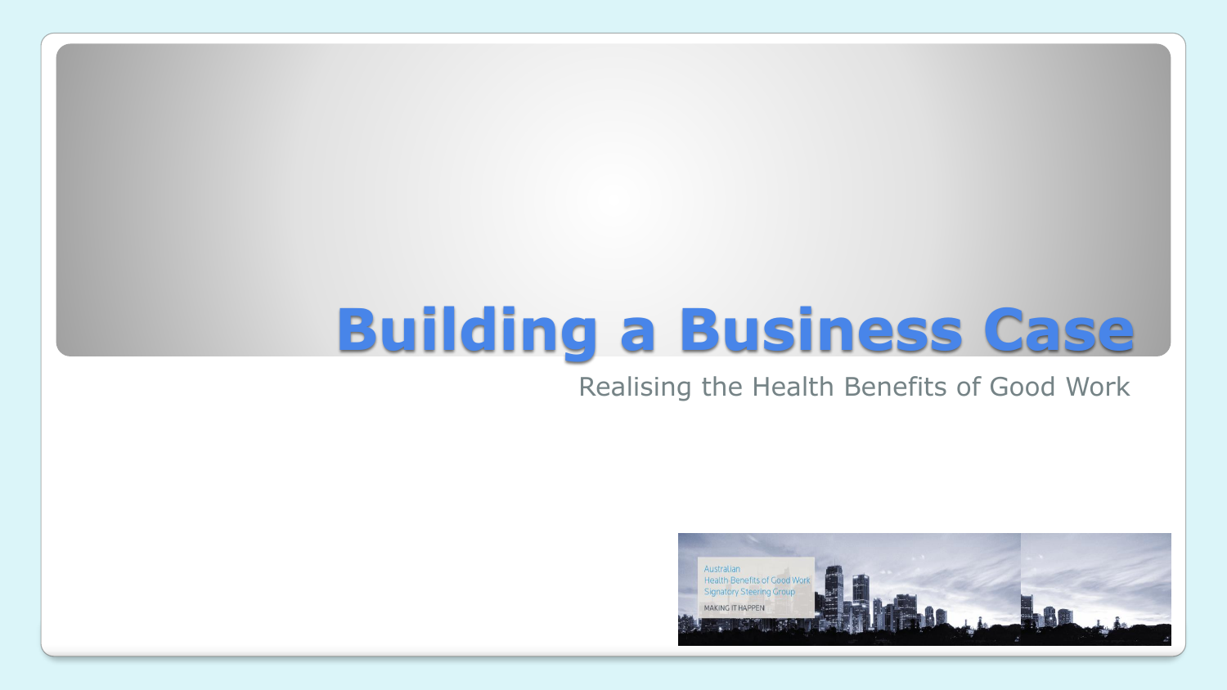## **Building a Business Case**

#### Realising the Health Benefits of Good Work

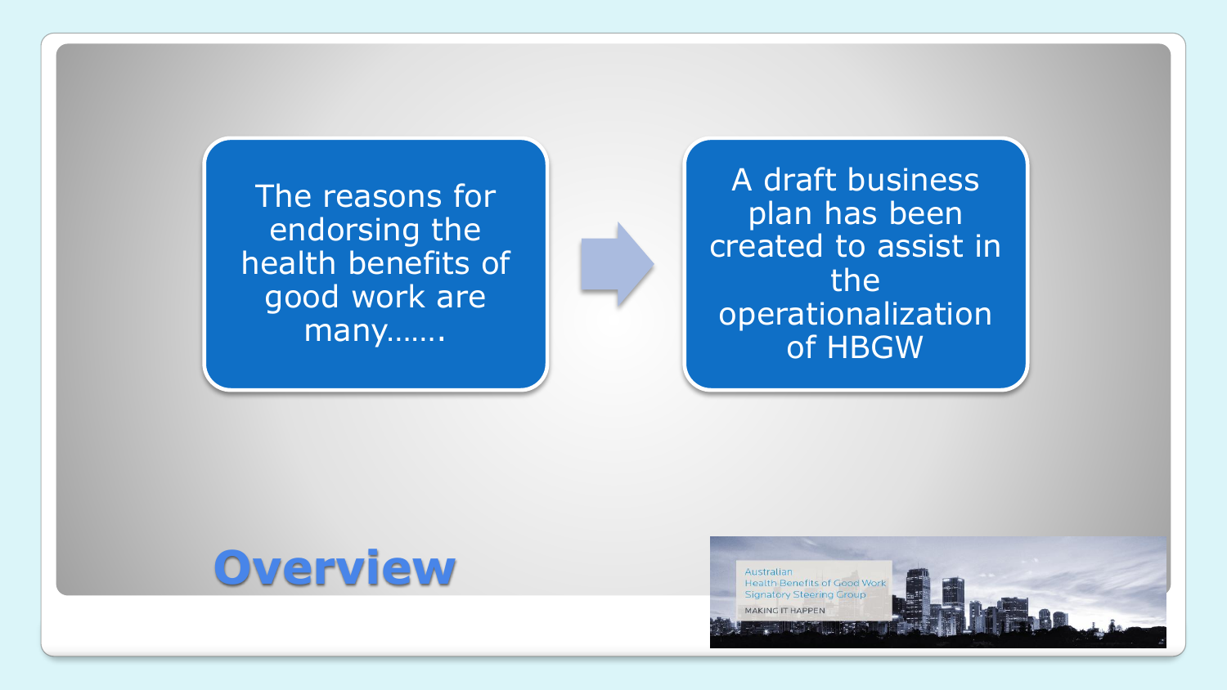The reasons for endorsing the health benefits of good work are many…….

A draft business plan has been created to assist in the operationalization of HBGW

### **Overview**

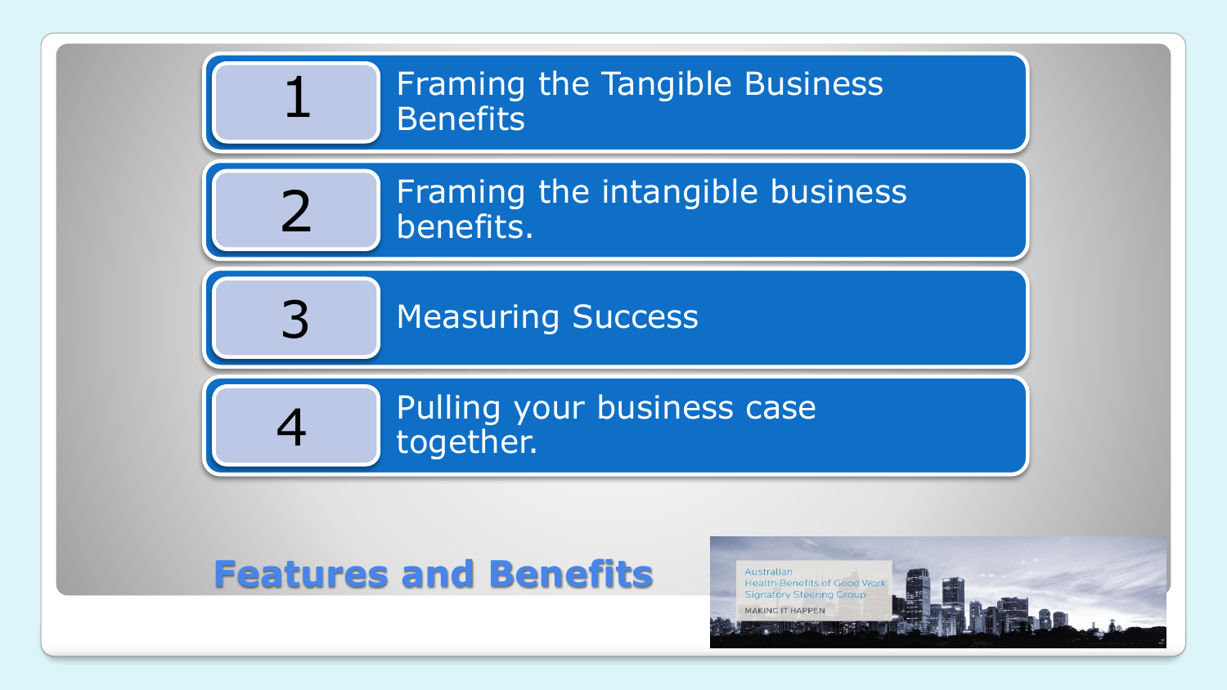

#### **Features and Benefits**

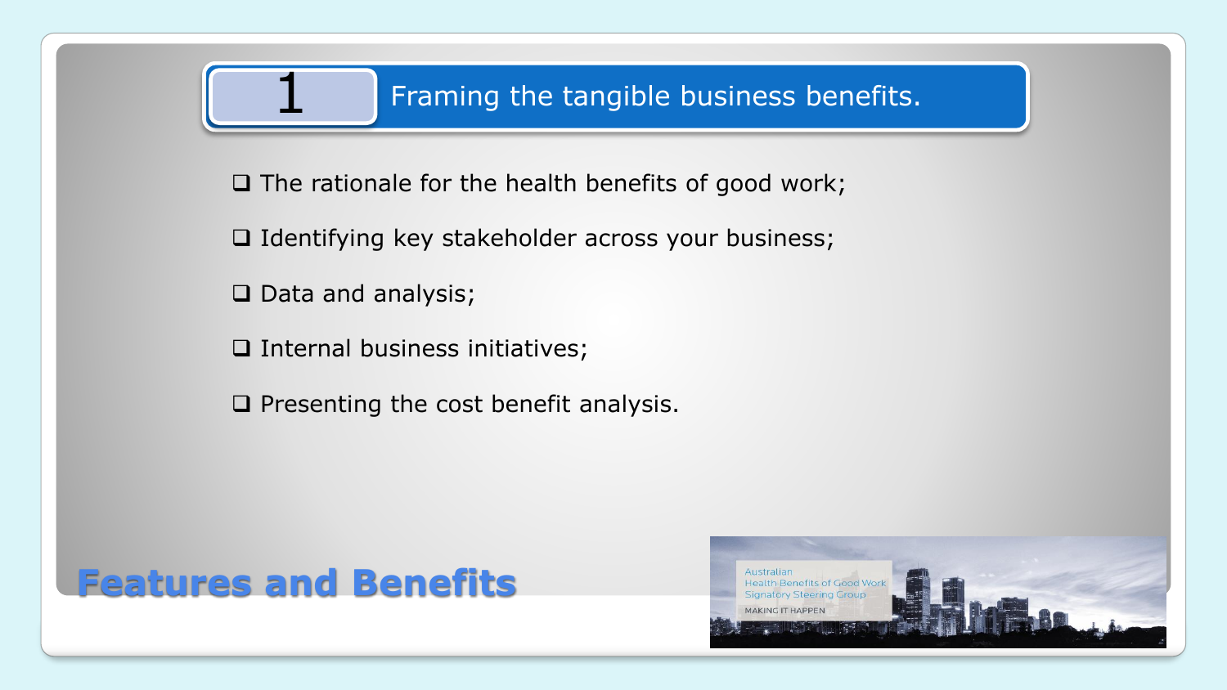$\Box$  The rationale for the health benefits of good work;

 $\Box$  Identifying key stakeholder across your business;

 $\Box$  Data and analysis;

 $\square$  Internal business initiatives;

 $\square$  Presenting the cost benefit analysis.



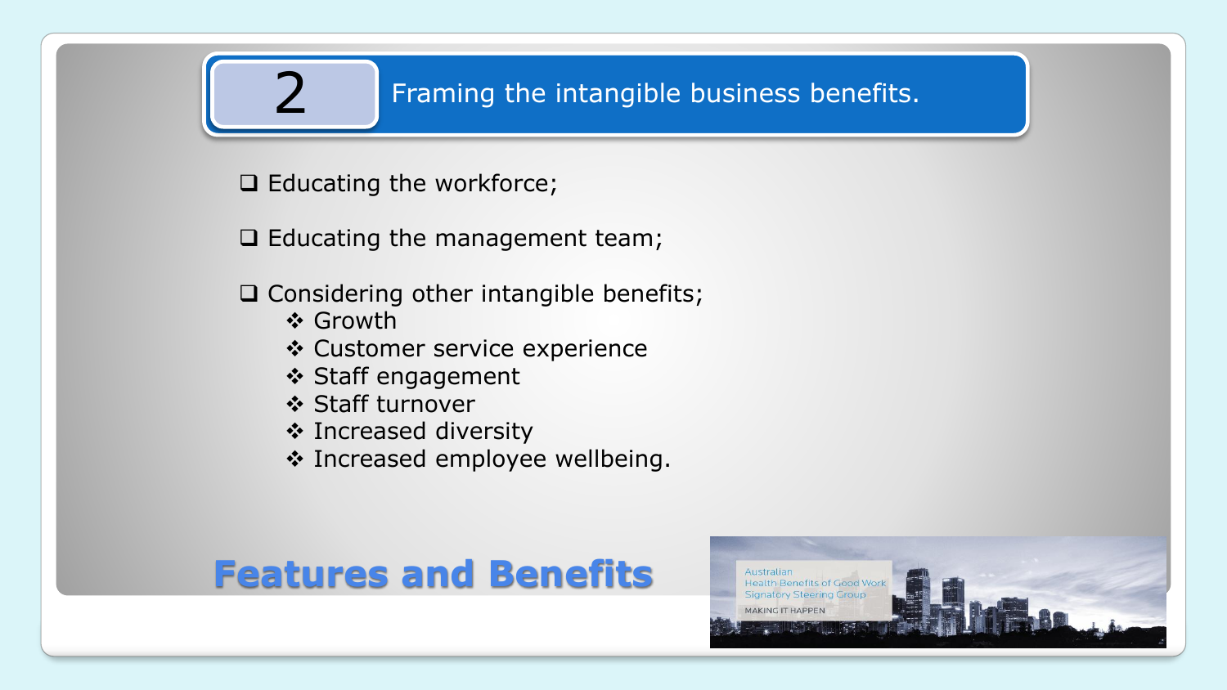#### Framing the intangible business benefits.

 $\Box$  Educating the workforce;

 $\Box$  Educating the management team;

 $\Box$  Considering other intangible benefits;

- ❖ Growth
- ❖ Customer service experience
- ❖ Staff engagement
- ❖ Staff turnover
- ❖ Increased diversity
- ❖ Increased employee wellbeing.

#### **Features and Benefits**

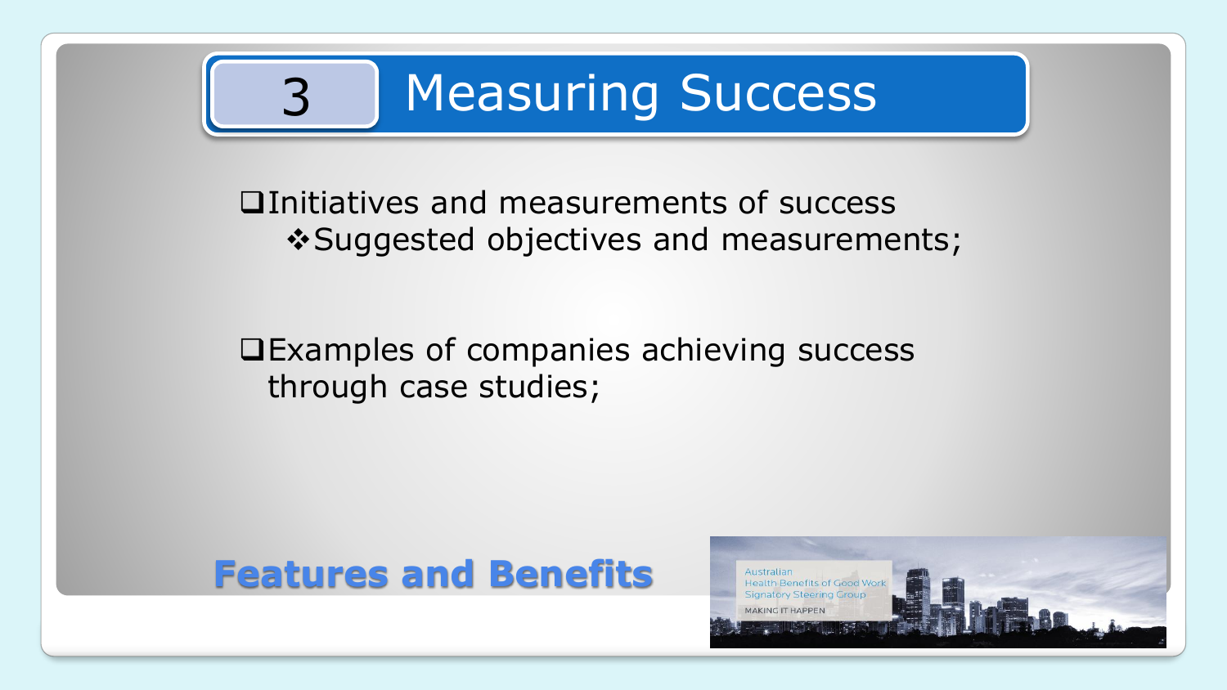

Initiatives and measurements of success ❖Suggested objectives and measurements;

#### Examples of companies achieving success through case studies;

#### **Features and Benefits**

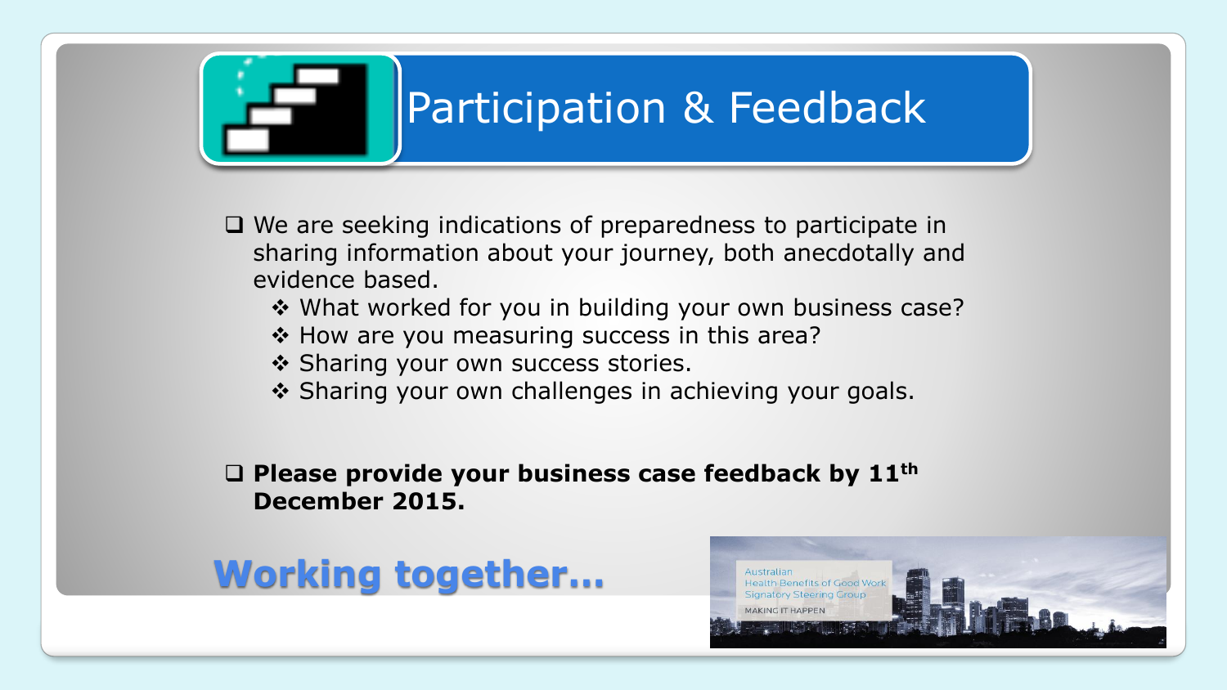# Participation & Feedback

- $\Box$  We are seeking indications of preparedness to participate in sharing information about your journey, both anecdotally and evidence based.
	- ❖ What worked for you in building your own business case?
	- ❖ How are you measuring success in this area?
	- ❖ Sharing your own success stories.
	- ❖ Sharing your own challenges in achieving your goals.

#### **Please provide your business case feedback by 11th December 2015.**